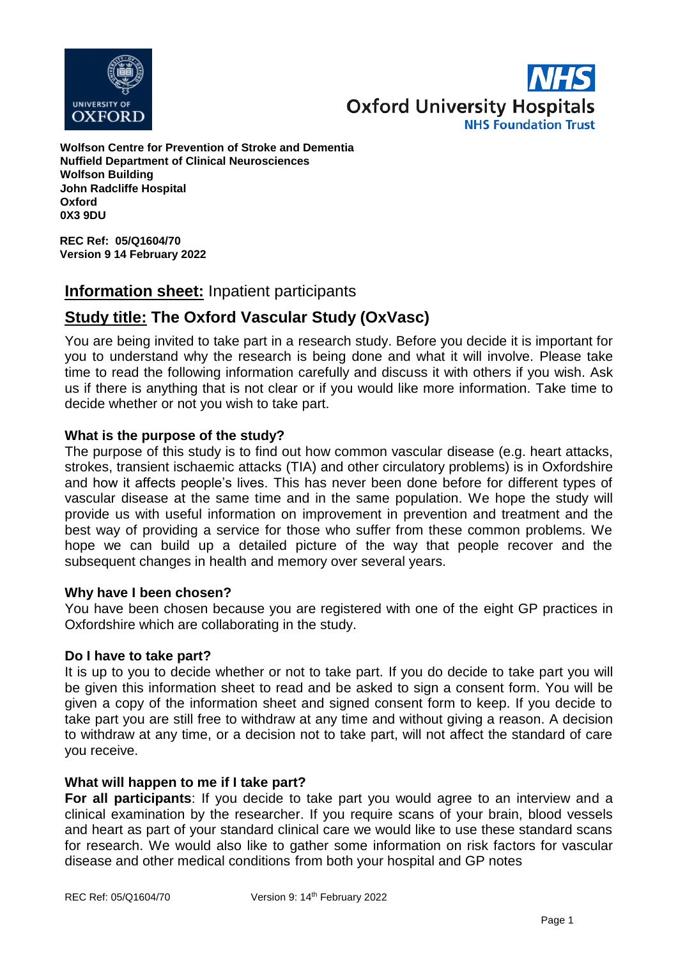



**Wolfson Centre for Prevention of Stroke and Dementia Nuffield Department of Clinical Neurosciences Wolfson Building John Radcliffe Hospital Oxford 0X3 9DU**

**REC Ref: 05/Q1604/70 Version 9 14 February 2022**

# **Information sheet:** Inpatient participants

# **Study title: The Oxford Vascular Study (OxVasc)**

You are being invited to take part in a research study. Before you decide it is important for you to understand why the research is being done and what it will involve. Please take time to read the following information carefully and discuss it with others if you wish. Ask us if there is anything that is not clear or if you would like more information. Take time to decide whether or not you wish to take part.

# **What is the purpose of the study?**

The purpose of this study is to find out how common vascular disease (e.g. heart attacks, strokes, transient ischaemic attacks (TIA) and other circulatory problems) is in Oxfordshire and how it affects people's lives. This has never been done before for different types of vascular disease at the same time and in the same population. We hope the study will provide us with useful information on improvement in prevention and treatment and the best way of providing a service for those who suffer from these common problems. We hope we can build up a detailed picture of the way that people recover and the subsequent changes in health and memory over several years.

# **Why have I been chosen?**

You have been chosen because you are registered with one of the eight GP practices in Oxfordshire which are collaborating in the study.

#### **Do I have to take part?**

It is up to you to decide whether or not to take part. If you do decide to take part you will be given this information sheet to read and be asked to sign a consent form. You will be given a copy of the information sheet and signed consent form to keep. If you decide to take part you are still free to withdraw at any time and without giving a reason. A decision to withdraw at any time, or a decision not to take part, will not affect the standard of care you receive.

# **What will happen to me if I take part?**

**For all participants**: If you decide to take part you would agree to an interview and a clinical examination by the researcher. If you require scans of your brain, blood vessels and heart as part of your standard clinical care we would like to use these standard scans for research. We would also like to gather some information on risk factors for vascular disease and other medical conditions from both your hospital and GP notes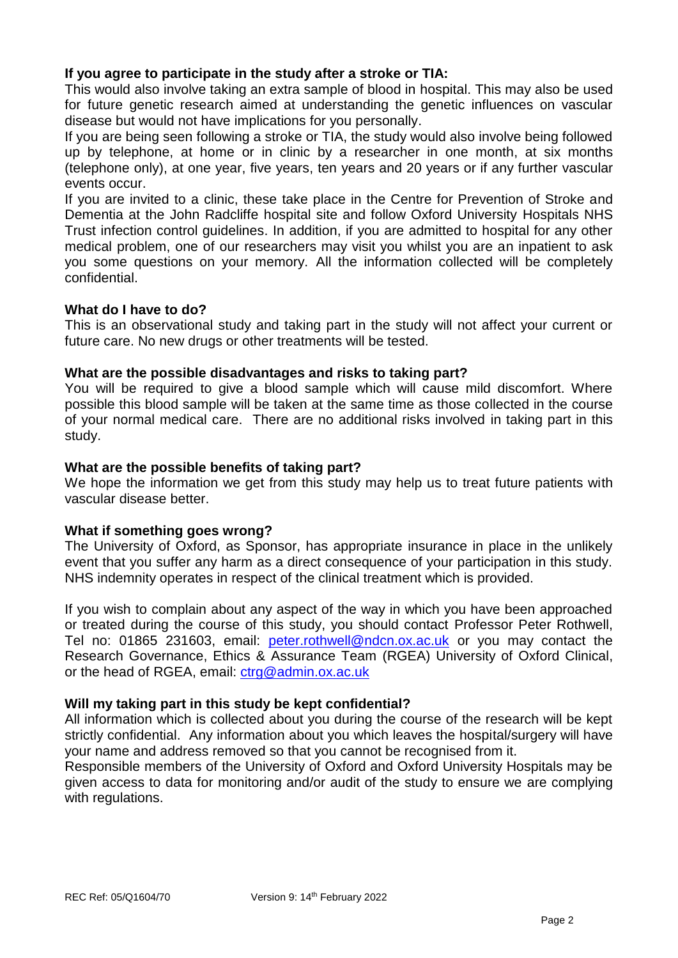# **If you agree to participate in the study after a stroke or TIA:**

This would also involve taking an extra sample of blood in hospital. This may also be used for future genetic research aimed at understanding the genetic influences on vascular disease but would not have implications for you personally.

If you are being seen following a stroke or TIA, the study would also involve being followed up by telephone, at home or in clinic by a researcher in one month, at six months (telephone only), at one year, five years, ten years and 20 years or if any further vascular events occur.

If you are invited to a clinic, these take place in the Centre for Prevention of Stroke and Dementia at the John Radcliffe hospital site and follow Oxford University Hospitals NHS Trust infection control guidelines. In addition, if you are admitted to hospital for any other medical problem, one of our researchers may visit you whilst you are an inpatient to ask you some questions on your memory. All the information collected will be completely confidential.

# **What do I have to do?**

This is an observational study and taking part in the study will not affect your current or future care. No new drugs or other treatments will be tested.

#### **What are the possible disadvantages and risks to taking part?**

You will be required to give a blood sample which will cause mild discomfort. Where possible this blood sample will be taken at the same time as those collected in the course of your normal medical care. There are no additional risks involved in taking part in this study.

#### **What are the possible benefits of taking part?**

We hope the information we get from this study may help us to treat future patients with vascular disease better.

# **What if something goes wrong?**

The University of Oxford, as Sponsor, has appropriate insurance in place in the unlikely event that you suffer any harm as a direct consequence of your participation in this study. NHS indemnity operates in respect of the clinical treatment which is provided.

If you wish to complain about any aspect of the way in which you have been approached or treated during the course of this study, you should contact Professor Peter Rothwell, Tel no: 01865 231603, email: [peter.rothwell@ndcn.ox.ac.uk](mailto:peter.rothwell@ndcn.ox.ac.uk) or you may contact the Research Governance, Ethics & Assurance Team (RGEA) University of Oxford Clinical, or the head of RGEA, email: [ctrg@admin.ox.ac.uk](mailto:ctrg@admin.ox.ac.uk)

# **Will my taking part in this study be kept confidential?**

All information which is collected about you during the course of the research will be kept strictly confidential. Any information about you which leaves the hospital/surgery will have your name and address removed so that you cannot be recognised from it.

Responsible members of the University of Oxford and Oxford University Hospitals may be given access to data for monitoring and/or audit of the study to ensure we are complying with regulations.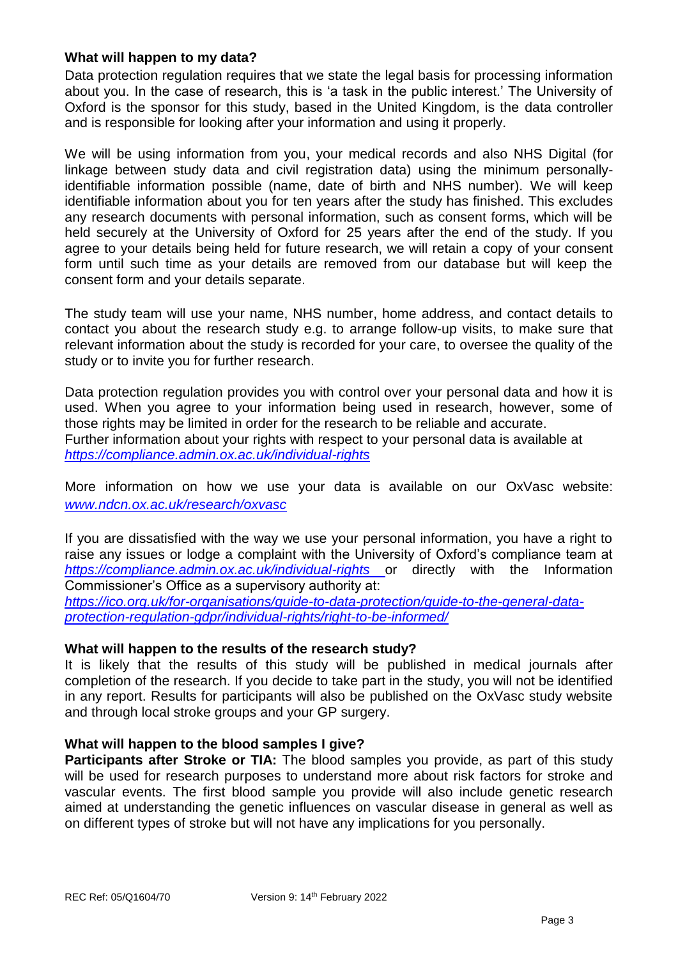# **What will happen to my data?**

Data protection regulation requires that we state the legal basis for processing information about you. In the case of research, this is 'a task in the public interest.' The University of Oxford is the sponsor for this study, based in the United Kingdom, is the data controller and is responsible for looking after your information and using it properly.

We will be using information from you, your medical records and also NHS Digital (for linkage between study data and civil registration data) using the minimum personallyidentifiable information possible (name, date of birth and NHS number). We will keep identifiable information about you for ten years after the study has finished. This excludes any research documents with personal information, such as consent forms, which will be held securely at the University of Oxford for 25 years after the end of the study. If you agree to your details being held for future research, we will retain a copy of your consent form until such time as your details are removed from our database but will keep the consent form and your details separate.

The study team will use your name, NHS number, home address, and contact details to contact you about the research study e.g. to arrange follow-up visits, to make sure that relevant information about the study is recorded for your care, to oversee the quality of the study or to invite you for further research.

Data protection regulation provides you with control over your personal data and how it is used. When you agree to your information being used in research, however, some of those rights may be limited in order for the research to be reliable and accurate. Further information about your rights with respect to your personal data is available at *<https://compliance.admin.ox.ac.uk/individual-rights>*

More information on how we use your data is available on our OxVasc website: *[www.ndcn.ox.ac.uk/research/oxvasc](http://www.ndcn.ox.ac.uk/research/oxvasc)*

If you are dissatisfied with the way we use your personal information, you have a right to raise any issues or lodge a complaint with the University of Oxford's compliance team at *<https://compliance.admin.ox.ac.uk/individual-rights>* or directly with the Information Commissioner's Office as a supervisory authority at:

*[https://ico.org.uk/for-organisations/guide-to-data-protection/guide-to-the-general-data](https://ico.org.uk/for-organisations/guide-to-data-protection/guide-to-the-general-data-protection-regulation-gdpr/individual-rights/right-to-be-informed/)[protection-regulation-gdpr/individual-rights/right-to-be-informed/](https://ico.org.uk/for-organisations/guide-to-data-protection/guide-to-the-general-data-protection-regulation-gdpr/individual-rights/right-to-be-informed/)*

#### **What will happen to the results of the research study?**

It is likely that the results of this study will be published in medical journals after completion of the research. If you decide to take part in the study, you will not be identified in any report. Results for participants will also be published on the OxVasc study website and through local stroke groups and your GP surgery.

# **What will happen to the blood samples I give?**

**Participants after Stroke or TIA:** The blood samples you provide, as part of this study will be used for research purposes to understand more about risk factors for stroke and vascular events. The first blood sample you provide will also include genetic research aimed at understanding the genetic influences on vascular disease in general as well as on different types of stroke but will not have any implications for you personally.